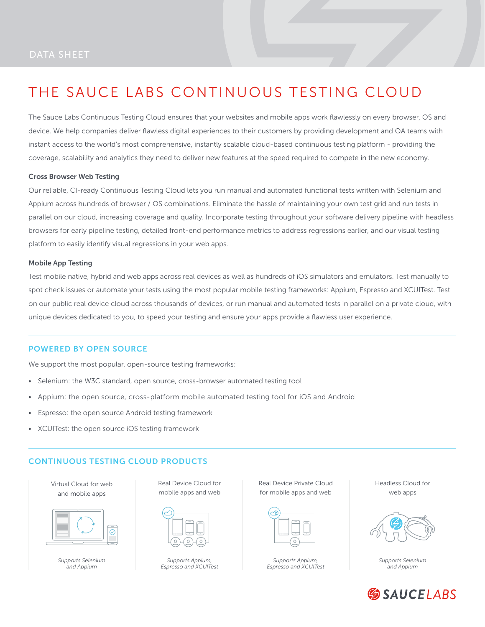# THE SAUCE LABS CONTINUOUS TESTING CLOUD

The Sauce Labs Continuous Testing Cloud ensures that your websites and mobile apps work flawlessly on every browser, OS and device. We help companies deliver flawless digital experiences to their customers by providing development and QA teams with instant access to the world's most comprehensive, instantly scalable cloud-based continuous testing platform - providing the coverage, scalability and analytics they need to deliver new features at the speed required to compete in the new economy.

#### Cross Browser Web Testing

Our reliable, CI-ready Continuous Testing Cloud lets you run manual and automated functional tests written with Selenium and Appium across hundreds of browser / OS combinations. Eliminate the hassle of maintaining your own test grid and run tests in parallel on our cloud, increasing coverage and quality. Incorporate testing throughout your software delivery pipeline with headless browsers for early pipeline testing, detailed front-end performance metrics to address regressions earlier, and our visual testing platform to easily identify visual regressions in your web apps.

#### Mobile App Testing

Test mobile native, hybrid and web apps across real devices as well as hundreds of iOS simulators and emulators. Test manually to spot check issues or automate your tests using the most popular mobile testing frameworks: Appium, Espresso and XCUITest. Test on our public real device cloud across thousands of devices, or run manual and automated tests in parallel on a private cloud, with unique devices dedicated to you, to speed your testing and ensure your apps provide a flawless user experience.

#### POWERED BY OPEN SOURCE

We support the most popular, open-source testing frameworks:

- Selenium: the W3C standard, open source, cross-browser automated testing tool
- Appium: the open source, cross-platform mobile automated testing tool for iOS and Android
- Espresso: the open source Android testing framework
- XCUITest: the open source iOS testing framework

#### CONTINUOUS TESTING CLOUD PRODUCTS

Virtual Cloud for web and mobile apps



*Supports Selenium and Appium*

Real Device Cloud for mobile apps and web

*Supports Appium, Espresso and XCUITest* Real Device Private Cloud for mobile apps and web

| Ā  |
|----|
|    |
|    |
| -- |
|    |
|    |

*Supports Appium, Espresso and XCUITest* Headless Cloud for web apps



*Supports Selenium and Appium*

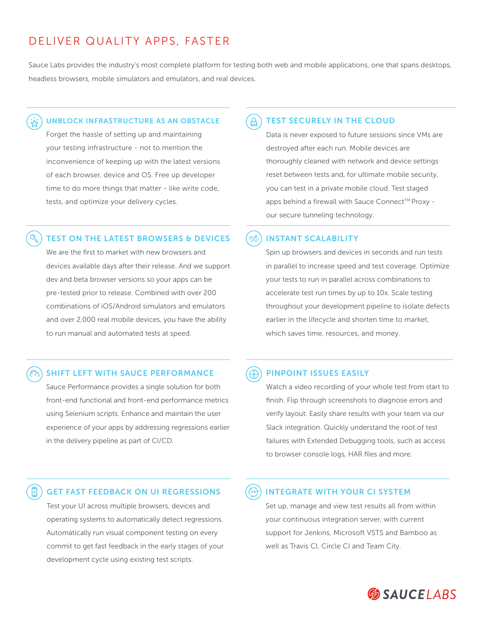## DELIVER QUALITY APPS, FASTER

Sauce Labs provides the industry's most complete platform for testing both web and mobile applications, one that spans desktops, headless browsers, mobile simulators and emulators, and real devices.

#### UNBLOCK INFRASTRUCTURE AS AN OBSTACLE

Forget the hassle of setting up and maintaining your testing infrastructure - not to mention the inconvenience of keeping up with the latest versions of each browser, device and OS. Free up developer time to do more things that matter - like write code, tests, and optimize your delivery cycles.

#### TEST ON THE LATEST BROWSERS & DEVICES

We are the first to market with new browsers and devices available days after their release. And we support dev and beta browser versions so your apps can be pre-tested prior to release. Combined with over 200 combinations of iOS/Android simulators and emulators and over 2,000 real mobile devices, you have the ability to run manual and automated tests at speed.

#### SHIFT LEFT WITH SAUCE PERFORMANCE

Sauce Performance provides a single solution for both front-end functional and front-end performance metrics using Selenium scripts. Enhance and maintain the user experience of your apps by addressing regressions earlier in the delivery pipeline as part of CI/CD.

#### TEST SECURELY IN THE CLOUD

Data is never exposed to future sessions since VMs are destroyed after each run. Mobile devices are thoroughly cleaned with network and device settings reset between tests and, for ultimate mobile security, you can test in a private mobile cloud. Test staged apps behind a firewall with Sauce Connect™ Proxy our secure tunneling technology.

#### INSTANT SCALABILITY

Spin up browsers and devices in seconds and run tests in parallel to increase speed and test coverage. Optimize your tests to run in parallel across combinations to accelerate test run times by up to 10x. Scale testing throughout your development pipeline to isolate defects earlier in the lifecycle and shorten time to market, which saves time, resources, and money.

#### ⊕ PINPOINT ISSUES EASILY

Watch a video recording of your whole test from start to finish. Flip through screenshots to diagnose errors and verify layout. Easily share results with your team via our Slack integration. Quickly understand the root of test failures with Extended Debugging tools, such as access to browser console logs, HAR files and more.

### GET FAST FEEDBACK ON UI REGRESSIONS

Test your UI across multiple browsers, devices and operating systems to automatically detect regressions. Automatically run visual component testing on every commit to get fast feedback in the early stages of your development cycle using existing test scripts.

#### INTEGRATE WITH YOUR CI SYSTEM **CA**

Set up, manage and view test results all from within your continuous integration server, with current support for Jenkins, Microsoft VSTS and Bamboo as well as Travis CI, Circle CI and Team City.

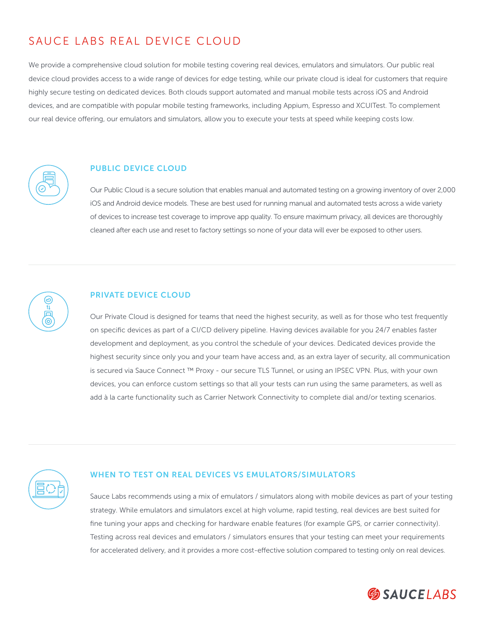# SAUCE LABS REAL DEVICE CLOUD

We provide a comprehensive cloud solution for mobile testing covering real devices, emulators and simulators. Our public real device cloud provides access to a wide range of devices for edge testing, while our private cloud is ideal for customers that require highly secure testing on dedicated devices. Both clouds support automated and manual mobile tests across iOS and Android devices, and are compatible with popular mobile testing frameworks, including Appium, Espresso and XCUITest. To complement our real device offering, our emulators and simulators, allow you to execute your tests at speed while keeping costs low.



#### PUBLIC DEVICE CLOUD

Our Public Cloud is a secure solution that enables manual and automated testing on a growing inventory of over 2,000 iOS and Android device models. These are best used for running manual and automated tests across a wide variety of devices to increase test coverage to improve app quality. To ensure maximum privacy, all devices are thoroughly cleaned after each use and reset to factory settings so none of your data will ever be exposed to other users.



#### PRIVATE DEVICE CLOUD

Our Private Cloud is designed for teams that need the highest security, as well as for those who test frequently on specific devices as part of a CI/CD delivery pipeline. Having devices available for you 24/7 enables faster development and deployment, as you control the schedule of your devices. Dedicated devices provide the highest security since only you and your team have access and, as an extra layer of security, all communication is secured via Sauce Connect ™ Proxy - our secure TLS Tunnel, or using an IPSEC VPN. Plus, with your own devices, you can enforce custom settings so that all your tests can run using the same parameters, as well as add à la carte functionality such as Carrier Network Connectivity to complete dial and/or texting scenarios.



#### WHEN TO TEST ON REAL DEVICES VS EMULATORS/SIMULATORS

Sauce Labs recommends using a mix of emulators / simulators along with mobile devices as part of your testing strategy. While emulators and simulators excel at high volume, rapid testing, real devices are best suited for fine tuning your apps and checking for hardware enable features (for example GPS, or carrier connectivity). Testing across real devices and emulators / simulators ensures that your testing can meet your requirements for accelerated delivery, and it provides a more cost-effective solution compared to testing only on real devices.